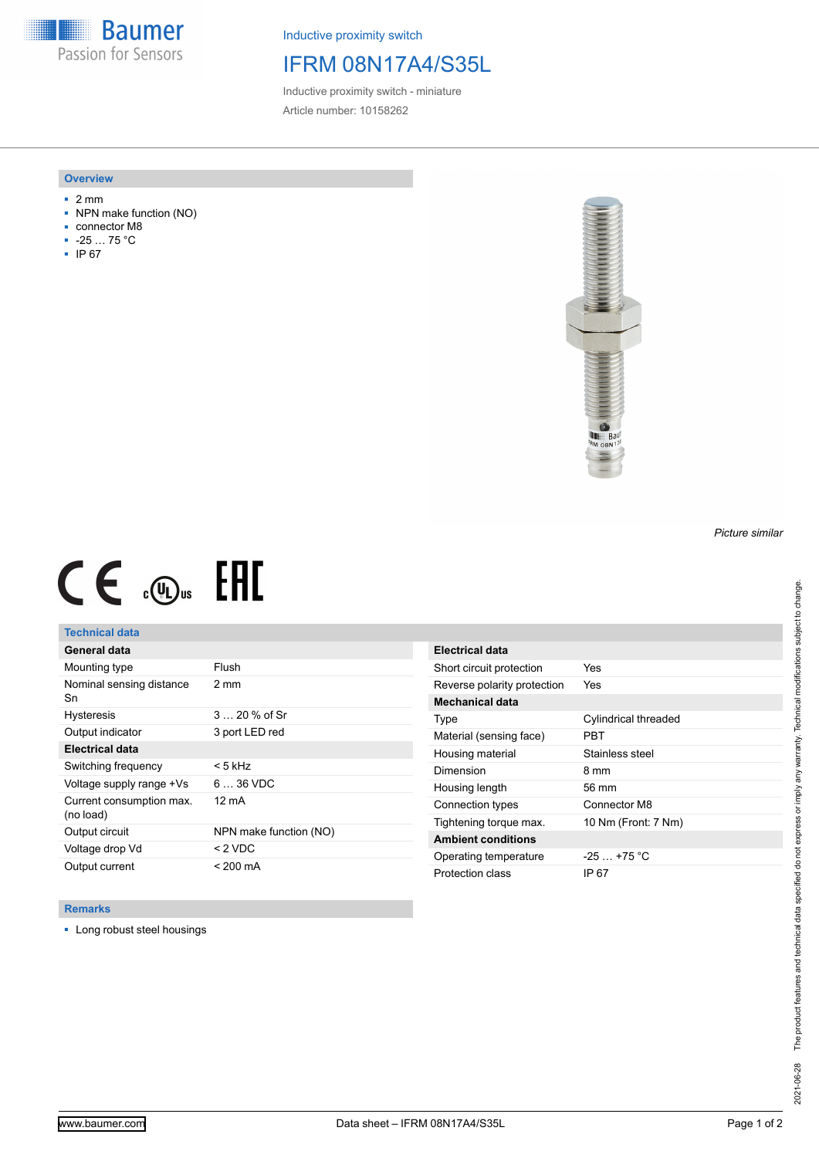**Baumer** Passion for Sensors

Inductive proximity switch

## IFRM 08N17A4/S35L

Inductive proximity switch - miniature Article number: 10158262

#### **Overview**

- 2 mm
- NPN make function (NO)
- connector M8
- -25 … 75 °C
- IP 67



# $CE \mathcal{L}$  (Dus FRE

## **Technical data**

| General data                          |                        |
|---------------------------------------|------------------------|
| Mounting type                         | Flush                  |
| Nominal sensing distance<br>Sn        | $2 \text{ mm}$         |
| <b>Hysteresis</b>                     | $320%$ of Sr           |
| Output indicator                      | 3 port LED red         |
| <b>Electrical data</b>                |                        |
| Switching frequency                   | < 5 kHz                |
| Voltage supply range +Vs              | $636$ VDC              |
| Current consumption max.<br>(no load) | 12 mA                  |
| Output circuit                        | NPN make function (NO) |
| Voltage drop Vd                       | $< 2$ VDC              |
| Output current                        | $< 200 \text{ mA}$     |

| Electrical data             |                      |
|-----------------------------|----------------------|
| Short circuit protection    | Yes                  |
| Reverse polarity protection | Yes                  |
| Mechanical data             |                      |
| Type                        | Cylindrical threaded |
| Material (sensing face)     | PRT                  |
| Housing material            | Stainless steel      |
| Dimension                   | 8 mm                 |
| Housing length              | $56 \text{ mm}$      |
| Connection types            | Connector M8         |
| Tightening torque max.      | 10 Nm (Front: 7 Nm)  |
| <b>Ambient conditions</b>   |                      |
| Operating temperature       | $-25+75 °C$          |
| Protection class            | IP 67                |

### **Remarks**

■ Long robust steel housings

The product features and technical data specified do not express or imply any warranty. Technical modifications subject to change. 2021-06-28 The product features and technical data specified do not express or imply any warranty. Technical modifications subject to change. 2021-06-28

*Picture similar*